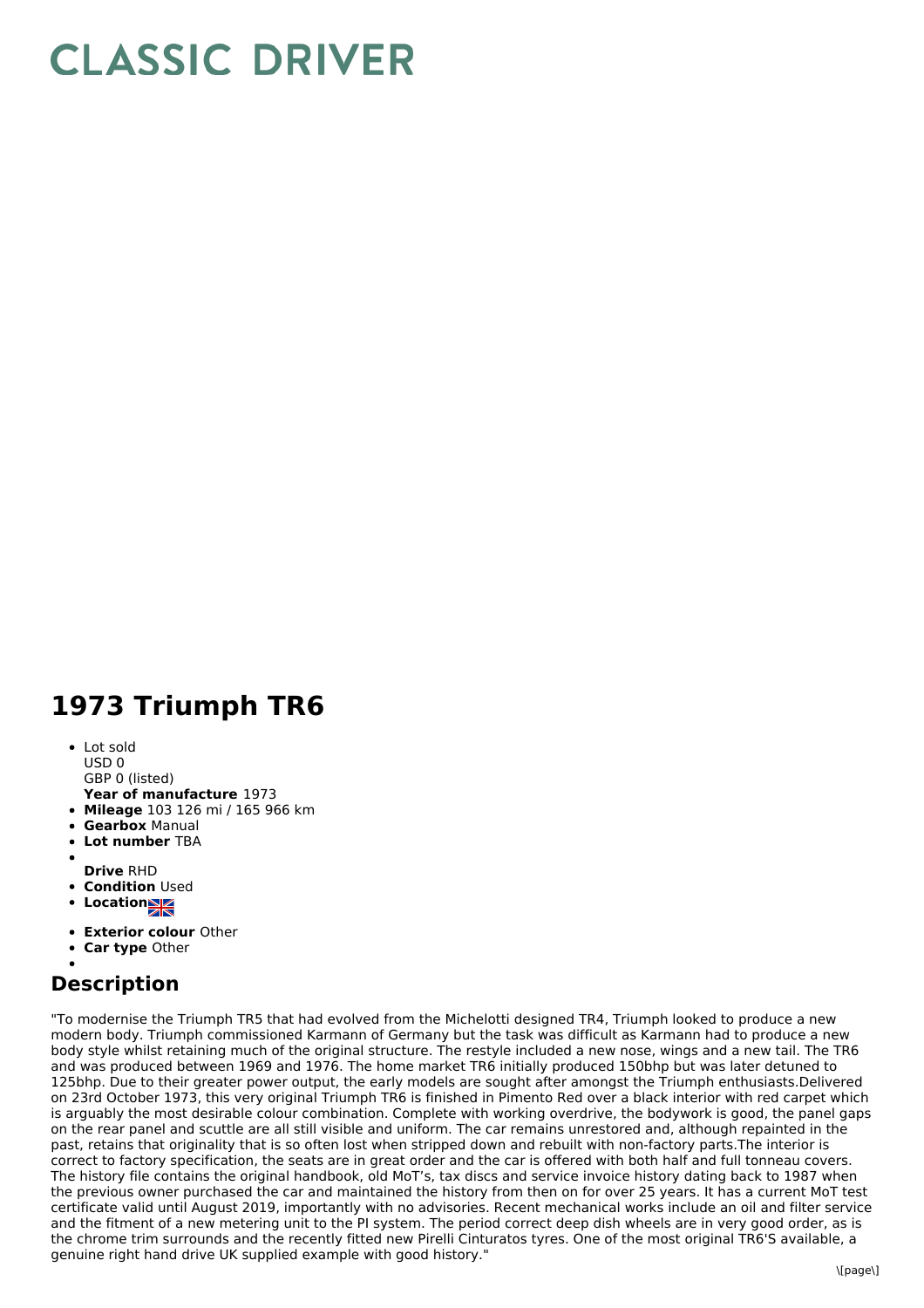## **CLASSIC DRIVER**

## **1973 Triumph TR6**

- Lot sold USD 0
- GBP 0 (listed)
- **Year of manufacture** 1973
- **Mileage** 103 126 mi / 165 966 km
- **Gearbox** Manual
- **Lot number** TBA
- 
- **Drive** RHD **• Condition Used**
- **Locations**
- 
- **Exterior colour** Other
- **Car type** Other

## **Description**

"To modernise the Triumph TR5 that had evolved from the Michelotti designed TR4, Triumph looked to produce a new modern body. Triumph commissioned Karmann of Germany but the task was difficult as Karmann had to produce a new body style whilst retaining much of the original structure. The restyle included a new nose, wings and a new tail. The TR6 and was produced between 1969 and 1976. The home market TR6 initially produced 150bhp but was later detuned to 125bhp. Due to their greater power output, the early models are sought after amongst the Triumph enthusiasts.Delivered on 23rd October 1973, this very original Triumph TR6 is finished in Pimento Red over a black interior with red carpet which is arguably the most desirable colour combination. Complete with working overdrive, the bodywork is good, the panel gaps on the rear panel and scuttle are all still visible and uniform. The car remains unrestored and, although repainted in the past, retains that originality that is so often lost when stripped down and rebuilt with non-factory parts.The interior is correct to factory specification, the seats are in great order and the car is offered with both half and full tonneau covers. The history file contains the original handbook, old MoT's, tax discs and service invoice history dating back to 1987 when the previous owner purchased the car and maintained the history from then on for over 25 years. It has a current MoT test certificate valid until August 2019, importantly with no advisories. Recent mechanical works include an oil and filter service and the fitment of a new metering unit to the PI system. The period correct deep dish wheels are in very good order, as is the chrome trim surrounds and the recently fitted new Pirelli Cinturatos tyres. One of the most original TR6'S available, a genuine right hand drive UK supplied example with good history."